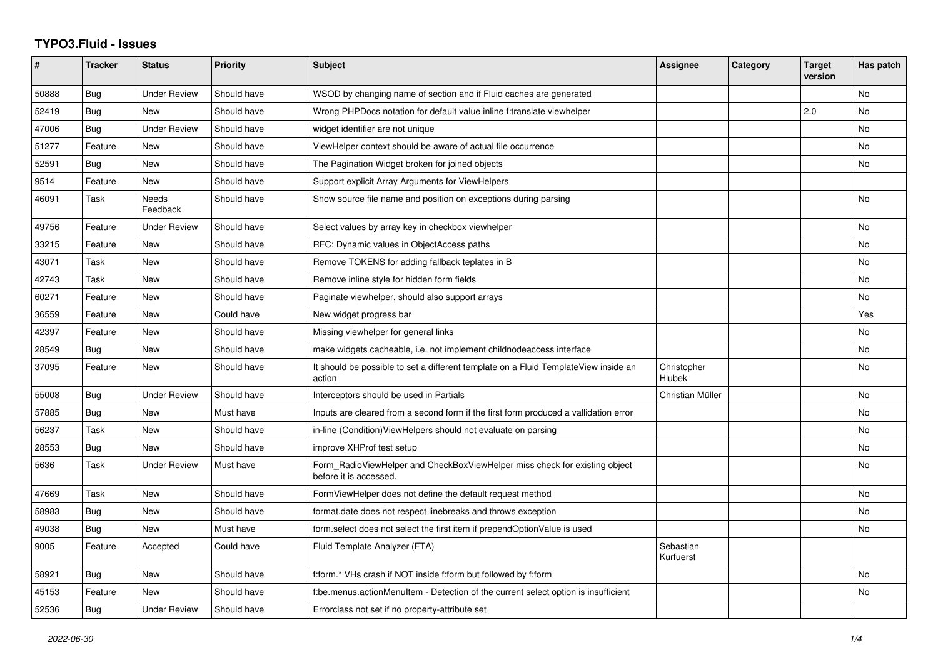## **TYPO3.Fluid - Issues**

| #     | <b>Tracker</b> | <b>Status</b>            | <b>Priority</b> | <b>Subject</b>                                                                                       | Assignee               | Category | <b>Target</b><br>version | Has patch      |
|-------|----------------|--------------------------|-----------------|------------------------------------------------------------------------------------------------------|------------------------|----------|--------------------------|----------------|
| 50888 | Bug            | <b>Under Review</b>      | Should have     | WSOD by changing name of section and if Fluid caches are generated                                   |                        |          |                          | No             |
| 52419 | Bug            | <b>New</b>               | Should have     | Wrong PHPDocs notation for default value inline f:translate viewhelper                               |                        |          | 2.0                      | No             |
| 47006 | Bug            | <b>Under Review</b>      | Should have     | widget identifier are not unique                                                                     |                        |          |                          | No             |
| 51277 | Feature        | New                      | Should have     | ViewHelper context should be aware of actual file occurrence                                         |                        |          |                          | No             |
| 52591 | Bug            | <b>New</b>               | Should have     | The Pagination Widget broken for joined objects                                                      |                        |          |                          | No             |
| 9514  | Feature        | <b>New</b>               | Should have     | Support explicit Array Arguments for ViewHelpers                                                     |                        |          |                          |                |
| 46091 | Task           | <b>Needs</b><br>Feedback | Should have     | Show source file name and position on exceptions during parsing                                      |                        |          |                          | No             |
| 49756 | Feature        | <b>Under Review</b>      | Should have     | Select values by array key in checkbox viewhelper                                                    |                        |          |                          | No             |
| 33215 | Feature        | <b>New</b>               | Should have     | RFC: Dynamic values in ObjectAccess paths                                                            |                        |          |                          | <b>No</b>      |
| 43071 | Task           | <b>New</b>               | Should have     | Remove TOKENS for adding fallback teplates in B                                                      |                        |          |                          | No             |
| 42743 | Task           | New                      | Should have     | Remove inline style for hidden form fields                                                           |                        |          |                          | No             |
| 60271 | Feature        | New                      | Should have     | Paginate viewhelper, should also support arrays                                                      |                        |          |                          | No.            |
| 36559 | Feature        | <b>New</b>               | Could have      | New widget progress bar                                                                              |                        |          |                          | Yes            |
| 42397 | Feature        | <b>New</b>               | Should have     | Missing viewhelper for general links                                                                 |                        |          |                          | N <sub>o</sub> |
| 28549 | Bug            | <b>New</b>               | Should have     | make widgets cacheable, i.e. not implement childnodeaccess interface                                 |                        |          |                          | No             |
| 37095 | Feature        | New                      | Should have     | It should be possible to set a different template on a Fluid TemplateView inside an<br>action        | Christopher<br>Hlubek  |          |                          | No.            |
| 55008 | Bug            | <b>Under Review</b>      | Should have     | Interceptors should be used in Partials                                                              | Christian Müller       |          |                          | No             |
| 57885 | Bug            | <b>New</b>               | Must have       | Inputs are cleared from a second form if the first form produced a vallidation error                 |                        |          |                          | No             |
| 56237 | Task           | New                      | Should have     | in-line (Condition) View Helpers should not evaluate on parsing                                      |                        |          |                          | No             |
| 28553 | Bug            | <b>New</b>               | Should have     | improve XHProf test setup                                                                            |                        |          |                          | No             |
| 5636  | Task           | <b>Under Review</b>      | Must have       | Form_RadioViewHelper and CheckBoxViewHelper miss check for existing object<br>before it is accessed. |                        |          |                          | No             |
| 47669 | Task           | <b>New</b>               | Should have     | FormViewHelper does not define the default request method                                            |                        |          |                          | No             |
| 58983 | Bug            | <b>New</b>               | Should have     | format.date does not respect linebreaks and throws exception                                         |                        |          |                          | No             |
| 49038 | Bug            | <b>New</b>               | Must have       | form select does not select the first item if prependOptionValue is used                             |                        |          |                          | No             |
| 9005  | Feature        | Accepted                 | Could have      | Fluid Template Analyzer (FTA)                                                                        | Sebastian<br>Kurfuerst |          |                          |                |
| 58921 | <b>Bug</b>     | <b>New</b>               | Should have     | f:form.* VHs crash if NOT inside f:form but followed by f:form                                       |                        |          |                          | <b>No</b>      |
| 45153 | Feature        | <b>New</b>               | Should have     | f:be.menus.actionMenuItem - Detection of the current select option is insufficient                   |                        |          |                          | No             |
| 52536 | Bug            | <b>Under Review</b>      | Should have     | Errorclass not set if no property-attribute set                                                      |                        |          |                          |                |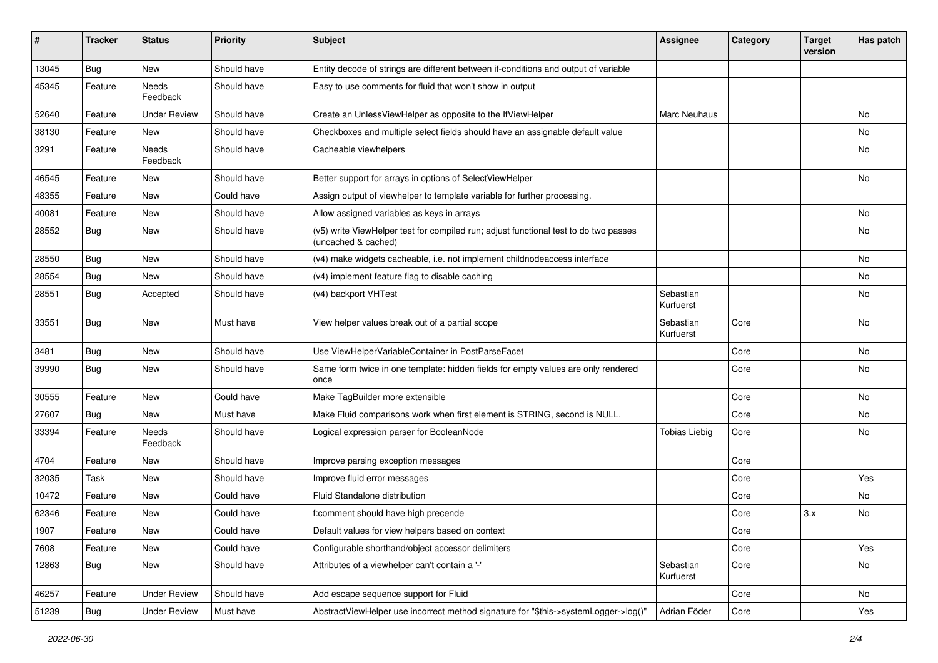| #     | <b>Tracker</b> | <b>Status</b>       | <b>Priority</b> | <b>Subject</b>                                                                                              | <b>Assignee</b>        | Category | <b>Target</b><br>version | Has patch |
|-------|----------------|---------------------|-----------------|-------------------------------------------------------------------------------------------------------------|------------------------|----------|--------------------------|-----------|
| 13045 | Bug            | New                 | Should have     | Entity decode of strings are different between if-conditions and output of variable                         |                        |          |                          |           |
| 45345 | Feature        | Needs<br>Feedback   | Should have     | Easy to use comments for fluid that won't show in output                                                    |                        |          |                          |           |
| 52640 | Feature        | <b>Under Review</b> | Should have     | Create an UnlessViewHelper as opposite to the IfViewHelper                                                  | Marc Neuhaus           |          |                          | No        |
| 38130 | Feature        | New                 | Should have     | Checkboxes and multiple select fields should have an assignable default value                               |                        |          |                          | No        |
| 3291  | Feature        | Needs<br>Feedback   | Should have     | Cacheable viewhelpers                                                                                       |                        |          |                          | No        |
| 46545 | Feature        | New                 | Should have     | Better support for arrays in options of SelectViewHelper                                                    |                        |          |                          | No        |
| 48355 | Feature        | <b>New</b>          | Could have      | Assign output of viewhelper to template variable for further processing.                                    |                        |          |                          |           |
| 40081 | Feature        | New                 | Should have     | Allow assigned variables as keys in arrays                                                                  |                        |          |                          | No        |
| 28552 | <b>Bug</b>     | New                 | Should have     | (v5) write ViewHelper test for compiled run; adjust functional test to do two passes<br>(uncached & cached) |                        |          |                          | No        |
| 28550 | Bug            | <b>New</b>          | Should have     | (v4) make widgets cacheable, i.e. not implement childnodeaccess interface                                   |                        |          |                          | No        |
| 28554 | Bug            | <b>New</b>          | Should have     | (v4) implement feature flag to disable caching                                                              |                        |          |                          | <b>No</b> |
| 28551 | Bug            | Accepted            | Should have     | (v4) backport VHTest                                                                                        | Sebastian<br>Kurfuerst |          |                          | No        |
| 33551 | Bug            | <b>New</b>          | Must have       | View helper values break out of a partial scope                                                             | Sebastian<br>Kurfuerst | Core     |                          | No        |
| 3481  | Bug            | <b>New</b>          | Should have     | Use ViewHelperVariableContainer in PostParseFacet                                                           |                        | Core     |                          | No        |
| 39990 | Bug            | <b>New</b>          | Should have     | Same form twice in one template: hidden fields for empty values are only rendered<br>once                   |                        | Core     |                          | No        |
| 30555 | Feature        | New                 | Could have      | Make TagBuilder more extensible                                                                             |                        | Core     |                          | <b>No</b> |
| 27607 | Bug            | New                 | Must have       | Make Fluid comparisons work when first element is STRING, second is NULL.                                   |                        | Core     |                          | No        |
| 33394 | Feature        | Needs<br>Feedback   | Should have     | Logical expression parser for BooleanNode                                                                   | <b>Tobias Liebig</b>   | Core     |                          | No        |
| 4704  | Feature        | New                 | Should have     | Improve parsing exception messages                                                                          |                        | Core     |                          |           |
| 32035 | Task           | New                 | Should have     | Improve fluid error messages                                                                                |                        | Core     |                          | Yes       |
| 10472 | Feature        | New                 | Could have      | Fluid Standalone distribution                                                                               |                        | Core     |                          | No        |
| 62346 | Feature        | New                 | Could have      | f:comment should have high precende                                                                         |                        | Core     | 3.x                      | No        |
| 1907  | Feature        | New                 | Could have      | Default values for view helpers based on context                                                            |                        | Core     |                          |           |
| 7608  | Feature        | New                 | Could have      | Configurable shorthand/object accessor delimiters                                                           |                        | Core     |                          | Yes       |
| 12863 | Bug            | New                 | Should have     | Attributes of a viewhelper can't contain a '-'                                                              | Sebastian<br>Kurfuerst | Core     |                          | No        |
| 46257 | Feature        | <b>Under Review</b> | Should have     | Add escape sequence support for Fluid                                                                       |                        | Core     |                          | No        |
| 51239 | <b>Bug</b>     | <b>Under Review</b> | Must have       | AbstractViewHelper use incorrect method signature for "\$this->systemLogger->log()"                         | Adrian Föder           | Core     |                          | Yes       |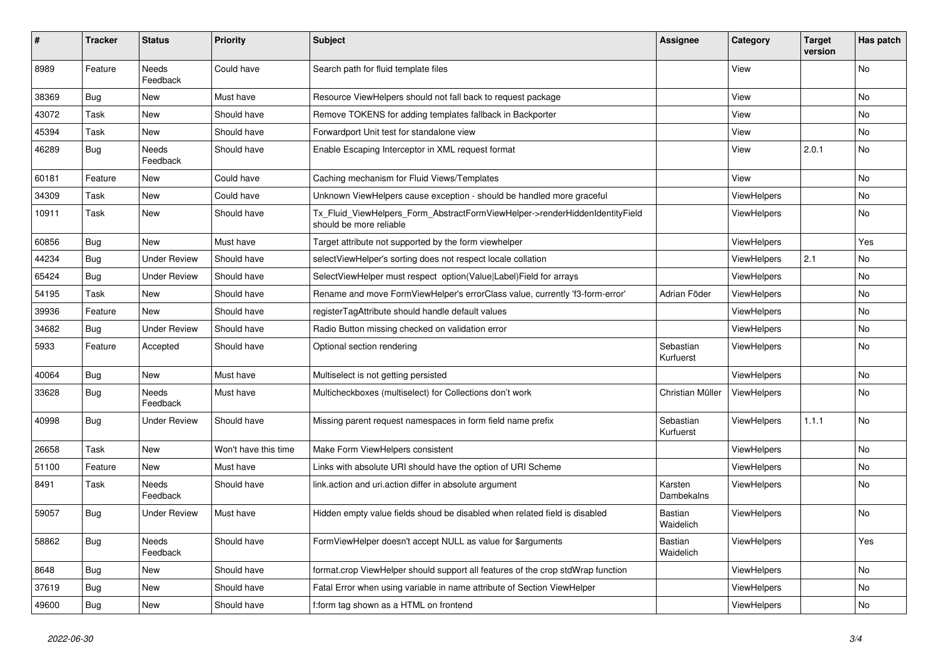| #     | <b>Tracker</b> | <b>Status</b>            | <b>Priority</b>      | <b>Subject</b>                                                                                         | Assignee               | Category           | <b>Target</b><br>version | Has patch |
|-------|----------------|--------------------------|----------------------|--------------------------------------------------------------------------------------------------------|------------------------|--------------------|--------------------------|-----------|
| 8989  | Feature        | <b>Needs</b><br>Feedback | Could have           | Search path for fluid template files                                                                   |                        | View               |                          | <b>No</b> |
| 38369 | <b>Bug</b>     | New                      | Must have            | Resource ViewHelpers should not fall back to request package                                           |                        | View               |                          | No        |
| 43072 | Task           | New                      | Should have          | Remove TOKENS for adding templates fallback in Backporter                                              |                        | View               |                          | No        |
| 45394 | Task           | <b>New</b>               | Should have          | Forwardport Unit test for standalone view                                                              |                        | View               |                          | No.       |
| 46289 | <b>Bug</b>     | <b>Needs</b><br>Feedback | Should have          | Enable Escaping Interceptor in XML request format                                                      |                        | View               | 2.0.1                    | No        |
| 60181 | Feature        | New                      | Could have           | Caching mechanism for Fluid Views/Templates                                                            |                        | View               |                          | No.       |
| 34309 | Task           | New                      | Could have           | Unknown ViewHelpers cause exception - should be handled more graceful                                  |                        | <b>ViewHelpers</b> |                          | No        |
| 10911 | Task           | New                      | Should have          | Tx_Fluid_ViewHelpers_Form_AbstractFormViewHelper->renderHiddenIdentityField<br>should be more reliable |                        | ViewHelpers        |                          | No        |
| 60856 | <b>Bug</b>     | <b>New</b>               | Must have            | Target attribute not supported by the form viewhelper                                                  |                        | <b>ViewHelpers</b> |                          | Yes       |
| 44234 | <b>Bug</b>     | <b>Under Review</b>      | Should have          | selectViewHelper's sorting does not respect locale collation                                           |                        | ViewHelpers        | 2.1                      | No        |
| 65424 | Bug            | <b>Under Review</b>      | Should have          | SelectViewHelper must respect option(Value Label)Field for arrays                                      |                        | ViewHelpers        |                          | No        |
| 54195 | Task           | <b>New</b>               | Should have          | Rename and move FormViewHelper's errorClass value, currently 'f3-form-error'                           | Adrian Föder           | <b>ViewHelpers</b> |                          | No        |
| 39936 | Feature        | <b>New</b>               | Should have          | registerTagAttribute should handle default values                                                      |                        | <b>ViewHelpers</b> |                          | No.       |
| 34682 | <b>Bug</b>     | <b>Under Review</b>      | Should have          | Radio Button missing checked on validation error                                                       |                        | <b>ViewHelpers</b> |                          | No.       |
| 5933  | Feature        | Accepted                 | Should have          | Optional section rendering                                                                             | Sebastian<br>Kurfuerst | <b>ViewHelpers</b> |                          | <b>No</b> |
| 40064 | Bug            | New                      | Must have            | Multiselect is not getting persisted                                                                   |                        | <b>ViewHelpers</b> |                          | No        |
| 33628 | <b>Bug</b>     | Needs<br>Feedback        | Must have            | Multicheckboxes (multiselect) for Collections don't work                                               | Christian Müller       | ViewHelpers        |                          | No        |
| 40998 | <b>Bug</b>     | Under Review             | Should have          | Missing parent request namespaces in form field name prefix                                            | Sebastian<br>Kurfuerst | <b>ViewHelpers</b> | 1.1.1                    | No.       |
| 26658 | Task           | <b>New</b>               | Won't have this time | Make Form ViewHelpers consistent                                                                       |                        | <b>ViewHelpers</b> |                          | No        |
| 51100 | Feature        | New                      | Must have            | Links with absolute URI should have the option of URI Scheme                                           |                        | <b>ViewHelpers</b> |                          | No.       |
| 8491  | Task           | Needs<br>Feedback        | Should have          | link.action and uri.action differ in absolute argument                                                 | Karsten<br>Dambekalns  | ViewHelpers        |                          | <b>No</b> |
| 59057 | <b>Bug</b>     | <b>Under Review</b>      | Must have            | Hidden empty value fields shoud be disabled when related field is disabled                             | Bastian<br>Waidelich   | <b>ViewHelpers</b> |                          | No        |
| 58862 | <b>Bug</b>     | <b>Needs</b><br>Feedback | Should have          | FormViewHelper doesn't accept NULL as value for \$arguments                                            | Bastian<br>Waidelich   | <b>ViewHelpers</b> |                          | Yes       |
| 8648  | <b>Bug</b>     | New                      | Should have          | format.crop ViewHelper should support all features of the crop stdWrap function                        |                        | <b>ViewHelpers</b> |                          | <b>No</b> |
| 37619 | Bug            | <b>New</b>               | Should have          | Fatal Error when using variable in name attribute of Section ViewHelper                                |                        | ViewHelpers        |                          | <b>No</b> |
| 49600 | <b>Bug</b>     | <b>New</b>               | Should have          | f:form tag shown as a HTML on frontend                                                                 |                        | ViewHelpers        |                          | No        |